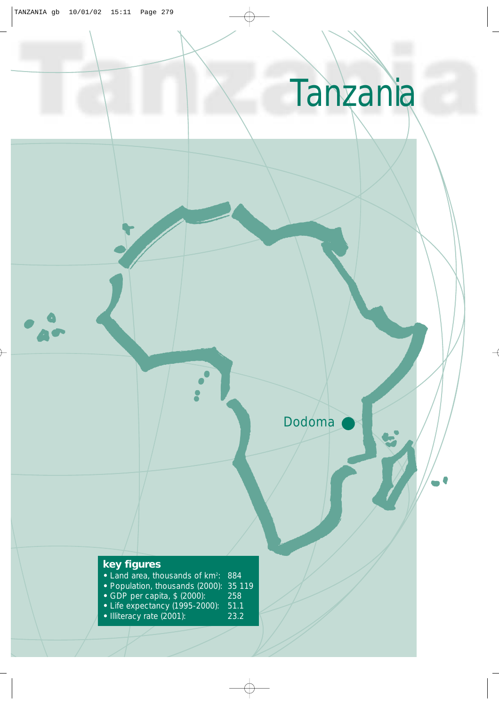

Dodoma

### **key figures**

- Land area, thousands of km<sup>2</sup>: 884
- Population, thousands (2000): 35 119
- GDP per capita, \$ (2000): 258
- Life expectancy (1995-2000): 51.1
- Illiteracy rate (2001): 23.2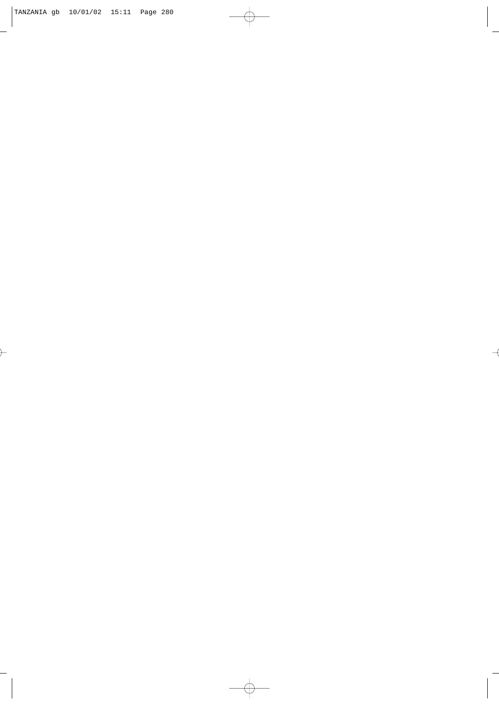TANZANIA gb 10/01/02 15:11 Page 280

 $\overline{+}$ 

 $\begin{array}{c} \begin{array}{c} \begin{array}{c} \end{array}\\ \begin{array}{c} \end{array} \end{array} \end{array}$ 

 $\overline{\phantom{a}}$ 

 $\longrightarrow$ 

 $\frac{1}{\sqrt{2}}$ 

 $\Big|$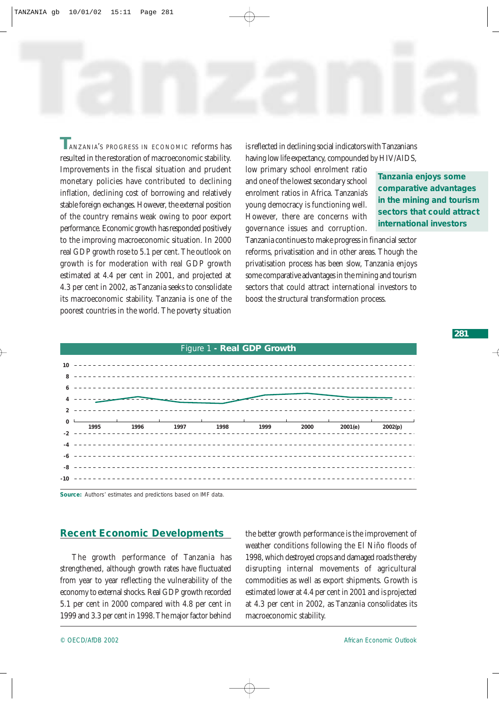**T**ANZANIA'S PROGRESS IN ECONOMIC reforms has resulted in the restoration of macroeconomic stability. Improvements in the fiscal situation and prudent monetary policies have contributed to declining inflation, declining cost of borrowing and relatively stable foreign exchanges. However, the external position of the country remains weak owing to poor export performance. Economic growth has responded positively to the improving macroeconomic situation. In 2000 real GDP growth rose to 5.1 per cent. The outlook on growth is for moderation with real GDP growth estimated at 4.4 per cent in 2001, and projected at 4.3 per cent in 2002, as Tanzania seeks to consolidate its macroeconomic stability. Tanzania is one of the poorest countries in the world. The poverty situation

is reflected in declining social indicators with Tanzanians having low life expectancy, compounded by HIV/AIDS,

low primary school enrolment ratio and one of the lowest secondary school enrolment ratios in Africa. Tanzania's young democracy is functioning well. However, there are concerns with governance issues and corruption.

**Tanzania enjoys some comparative advantages in the mining and tourism sectors that could attract international investors**

Tanzania continues to make progress in financial sector reforms, privatisation and in other areas. Though the privatisation process has been slow, Tanzania enjoys some comparative advantages in the mining and tourism sectors that could attract international investors to boost the structural transformation process.

Figure 1 **- Real GDP Growth** \_\_\_\_\_\_\_\_\_\_\_\_\_\_\_\_\_\_\_\_\_\_ **10 8 6** <u> El antigo de la companya de la companya de la companya de la companya de la companya de la companya de la compa</u> **4 2 0 1995 1996 1997 1998 1999 2000 2001(e) 2002(p) -2 -4 -6 -8 -10**

**Source:** Authors' estimates and predictions based on IMF data.

#### **Recent Economic Developments**

The growth performance of Tanzania has strengthened, although growth rates have fluctuated from year to year reflecting the vulnerability of the economy to external shocks. Real GDP growth recorded 5.1 per cent in 2000 compared with 4.8 per cent in 1999 and 3.3 per cent in 1998. The major factor behind

the better growth performance is the improvement of weather conditions following the El Niño floods of 1998, which destroyed crops and damaged roads thereby disrupting internal movements of agricultural commodities as well as export shipments. Growth is estimated lower at 4.4 per cent in 2001 and is projected at 4.3 per cent in 2002, as Tanzania consolidates its macroeconomic stability.

*281*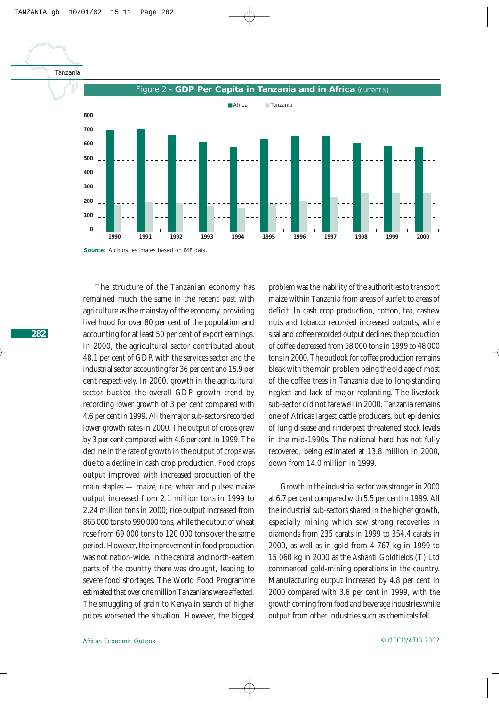*282*



**Source:** Authors' estimates based on IMF data.

The structure of the Tanzanian economy has remained much the same in the recent past with agriculture as the mainstay of the economy, providing livelihood for over 80 per cent of the population and accounting for at least 50 per cent of export earnings. In 2000, the agricultural sector contributed about 48.1 per cent of GDP, with the services sector and the industrial sector accounting for 36 per cent and 15.9 per cent respectively. In 2000, growth in the agricultural sector bucked the overall GDP growth trend by recording lower growth of 3 per cent compared with 4.6 per cent in 1999. All the major sub-sectors recorded lower growth rates in 2000. The output of crops grew by 3 per cent compared with 4.6 per cent in 1999. The decline in the rate of growth in the output of crops was due to a decline in cash crop production. Food crops output improved with increased production of the main staples — maize, rice, wheat and pulses: maize output increased from 2.1 million tons in 1999 to 2.24 million tons in 2000; rice output increased from 865 000 tons to 990 000 tons; while the output of wheat rose from 69 000 tons to 120 000 tons over the same period. However, the improvement in food production was not nation-wide. In the central and north-eastern parts of the country there was drought, leading to severe food shortages. The World Food Programme estimated that over one million Tanzanians were affected. The smuggling of grain to Kenya in search of higher prices worsened the situation. However, the biggest

problem was the inability of the authorities to transport maize within Tanzania from areas of surfeit to areas of deficit. In cash crop production, cotton, tea, cashew nuts and tobacco recorded increased outputs, while sisal and coffee recorded output declines: the production of coffee decreased from 58 000 tons in 1999 to 48 000 tons in 2000. The outlook for coffee production remains bleak with the main problem being the old age of most of the coffee trees in Tanzania due to long-standing neglect and lack of major replanting. The livestock sub-sector did not fare well in 2000. Tanzania remains one of Africa's largest cattle producers, but epidemics of lung disease and rinderpest threatened stock levels in the mid-1990s. The national herd has not fully recovered, being estimated at 13.8 million in 2000, down from 14.0 million in 1999.

Growth in the industrial sector was stronger in 2000 at 6.7 per cent compared with 5.5 per cent in 1999. All the industrial sub-sectors shared in the higher growth, especially mining which saw strong recoveries in diamonds from 235 carats in 1999 to 354.4 carats in 2000, as well as in gold from 4 767 kg in 1999 to 15 060 kg in 2000 as the Ashanti Goldfields (T) Ltd commenced gold-mining operations in the country. Manufacturing output increased by 4.8 per cent in 2000 compared with 3.6 per cent in 1999, with the growth coming from food and beverage industries while output from other industries such as chemicals fell.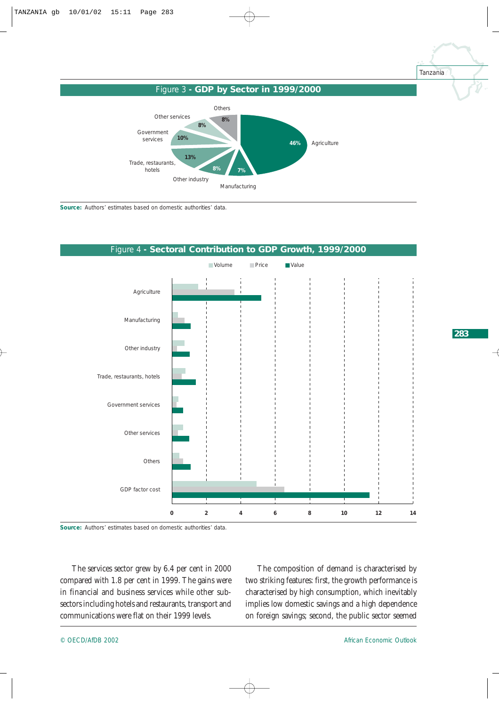

*283*



**Source:** Authors' estimates based on domestic authorities' data.



## Figure 4 **- Sectoral Contribution to GDP Growth, 1999/2000**

**Source:** Authors' estimates based on domestic authorities' data.

The services sector grew by 6.4 per cent in 2000 compared with 1.8 per cent in 1999. The gains were in financial and business services while other subsectors including hotels and restaurants, transport and communications were flat on their 1999 levels.

The composition of demand is characterised by two striking features: first, the growth performance is characterised by high consumption, which inevitably implies low domestic savings and a high dependence on foreign savings; second, the public sector seemed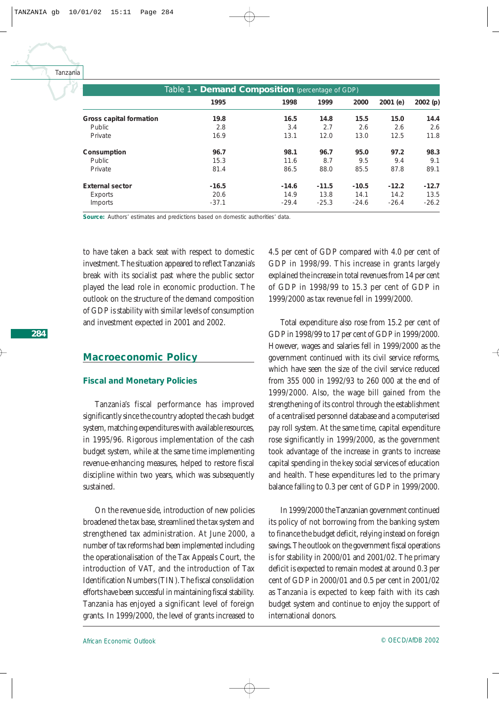| Table 1 - Demand Composition (percentage of GDP) |         |         |         |         |         |         |  |
|--------------------------------------------------|---------|---------|---------|---------|---------|---------|--|
|                                                  | 1995    | 1998    | 1999    | 2000    | 2001(e) | 2002(p) |  |
| Gross capital formation                          | 19.8    | 16.5    | 14.8    | 15.5    | 15.0    | 14.4    |  |
| Public                                           | 2.8     | 3.4     | 2.7     | 2.6     | 2.6     | 2.6     |  |
| Private                                          | 16.9    | 13.1    | 12.0    | 13.0    | 12.5    | 11.8    |  |
| Consumption                                      | 96.7    | 98.1    | 96.7    | 95.0    | 97.2    | 98.3    |  |
| Public                                           | 15.3    | 11.6    | 8.7     | 9.5     | 9.4     | 9.1     |  |
| Private                                          | 81.4    | 86.5    | 88.0    | 85.5    | 87.8    | 89.1    |  |
| <b>External sector</b>                           | $-16.5$ | $-14.6$ | $-11.5$ | $-10.5$ | $-12.2$ | $-12.7$ |  |
| Exports                                          | 20.6    | 14.9    | 13.8    | 14.1    | 14.2    | 13.5    |  |
| Imports                                          | $-37.1$ | $-29.4$ | $-25.3$ | $-24.6$ | $-26.4$ | $-26.2$ |  |

**Source:** Authors' estimates and predictions based on domestic authorities' data.

to have taken a back seat with respect to domestic investment. The situation appeared to reflect Tanzania's break with its socialist past where the public sector played the lead role in economic production. The outlook on the structure of the demand composition of GDP is stability with similar levels of consumption and investment expected in 2001 and 2002.

#### **Macroeconomic Policy**

#### *Fiscal and Monetary Policies*

Tanzania's fiscal performance has improved significantly since the country adopted the cash budget system, matching expenditures with available resources, in 1995/96. Rigorous implementation of the cash budget system, while at the same time implementing revenue-enhancing measures, helped to restore fiscal discipline within two years, which was subsequently sustained.

On the revenue side, introduction of new policies broadened the tax base, streamlined the tax system and strengthened tax administration. At June 2000, a number of tax reforms had been implemented including the operationalisation of the Tax Appeals Court, the introduction of VAT, and the introduction of Tax Identification Numbers (TIN). The fiscal consolidation efforts have been successful in maintaining fiscal stability. Tanzania has enjoyed a significant level of foreign grants. In 1999/2000, the level of grants increased to

4.5 per cent of GDP compared with 4.0 per cent of GDP in 1998/99. This increase in grants largely explained the increase in total revenues from 14 per cent of GDP in 1998/99 to 15.3 per cent of GDP in 1999/2000 as tax revenue fell in 1999/2000.

Total expenditure also rose from 15.2 per cent of GDP in 1998/99 to 17 per cent of GDP in 1999/2000. However, wages and salaries fell in 1999/2000 as the government continued with its civil service reforms, which have seen the size of the civil service reduced from 355 000 in 1992/93 to 260 000 at the end of 1999/2000. Also, the wage bill gained from the strengthening of its control through the establishment of a centralised personnel database and a computerised pay roll system. At the same time, capital expenditure rose significantly in 1999/2000, as the government took advantage of the increase in grants to increase capital spending in the key social services of education and health. These expenditures led to the primary balance falling to 0.3 per cent of GDP in 1999/2000.

In 1999/2000 the Tanzanian government continued its policy of not borrowing from the banking system to finance the budget deficit, relying instead on foreign savings. The outlook on the government fiscal operations is for stability in 2000/01 and 2001/02. The primary deficit is expected to remain modest at around 0.3 per cent of GDP in 2000/01 and 0.5 per cent in 2001/02 as Tanzania is expected to keep faith with its cash budget system and continue to enjoy the support of international donors.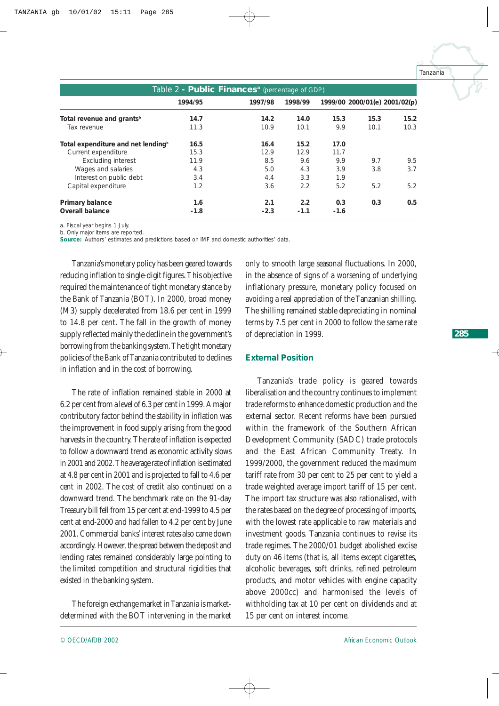| Table 2 - Public Finances <sup>a</sup> (percentage of GDP) |         |         |         |                               |      |      |
|------------------------------------------------------------|---------|---------|---------|-------------------------------|------|------|
|                                                            | 1994/95 | 1997/98 | 1998/99 | 1999/00 2000/01(e) 2001/02(p) |      |      |
| Total revenue and grants <sup>b</sup>                      | 14.7    | 14.2    | 14.0    | 15.3                          | 15.3 | 15.2 |
| Tax revenue                                                | 11.3    | 10.9    | 10.1    | 9.9                           | 10.1 | 10.3 |
| Total expenditure and net lending <sup>b</sup>             | 16.5    | 16.4    | 15.2    | 17.0                          |      |      |
| Current expenditure                                        | 15.3    | 12.9    | 12.9    | 11.7                          |      |      |
| <b>Excluding interest</b>                                  | 11.9    | 8.5     | 9.6     | 9.9                           | 9.7  | 9.5  |
| Wages and salaries                                         | 4.3     | 5.0     | 4.3     | 3.9                           | 3.8  | 3.7  |
| Interest on public debt                                    | 3.4     | 4.4     | 3.3     | 1.9                           |      |      |
| Capital expenditure                                        | 1.2     | 3.6     | 2.2     | 5.2                           | 5.2  | 5.2  |
| Primary balance                                            | 1.6     | 2.1     | 2.2     | 0.3                           | 0.3  | 0.5  |
| <b>Overall balance</b>                                     | $-1.8$  | $-2.3$  | $-1.1$  | $-1.6$                        |      |      |

a. Fiscal year begins 1 July.

b. Only major items are reported.

**Source:** Authors' estimates and predictions based on IMF and domestic authorities' data.

Tanzania's monetary policy has been geared towards reducing inflation to single-digit figures. This objective required the maintenance of tight monetary stance by the Bank of Tanzania (BOT). In 2000, broad money (M3) supply decelerated from 18.6 per cent in 1999 to 14.8 per cent. The fall in the growth of money supply reflected mainly the decline in the government's borrowing from the banking system. The tight monetary policies of the Bank of Tanzania contributed to declines in inflation and in the cost of borrowing.

The rate of inflation remained stable in 2000 at 6.2 per cent from a level of 6.3 per cent in 1999. A major contributory factor behind the stability in inflation was the improvement in food supply arising from the good harvests in the country. The rate of inflation is expected to follow a downward trend as economic activity slows in 2001 and 2002. The average rate of inflation is estimated at 4.8 per cent in 2001 and is projected to fall to 4.6 per cent in 2002. The cost of credit also continued on a downward trend. The benchmark rate on the 91-day Treasury bill fell from 15 per cent at end-1999 to 4.5 per cent at end-2000 and had fallen to 4.2 per cent by June 2001. Commercial banks' interest rates also came down accordingly. However, the spread between the deposit and lending rates remained considerably large pointing to the limited competition and structural rigidities that existed in the banking system.

The foreign exchange market in Tanzania is marketdetermined with the BOT intervening in the market only to smooth large seasonal fluctuations. In 2000, in the absence of signs of a worsening of underlying inflationary pressure, monetary policy focused on avoiding a real appreciation of the Tanzanian shilling. The shilling remained stable depreciating in nominal terms by 7.5 per cent in 2000 to follow the same rate of depreciation in 1999.

*285*

Tanzania

#### *External Position*

Tanzania's trade policy is geared towards liberalisation and the country continues to implement trade reforms to enhance domestic production and the external sector. Recent reforms have been pursued within the framework of the Southern African Development Community (SADC) trade protocols and the East African Community Treaty. In 1999/2000, the government reduced the maximum tariff rate from 30 per cent to 25 per cent to yield a trade weighted average import tariff of 15 per cent. The import tax structure was also rationalised, with the rates based on the degree of processing of imports, with the lowest rate applicable to raw materials and investment goods. Tanzania continues to revise its trade regimes. The 2000/01 budget abolished excise duty on 46 items (that is, all items except cigarettes, alcoholic beverages, soft drinks, refined petroleum products, and motor vehicles with engine capacity above 2000cc) and harmonised the levels of withholding tax at 10 per cent on dividends and at 15 per cent on interest income.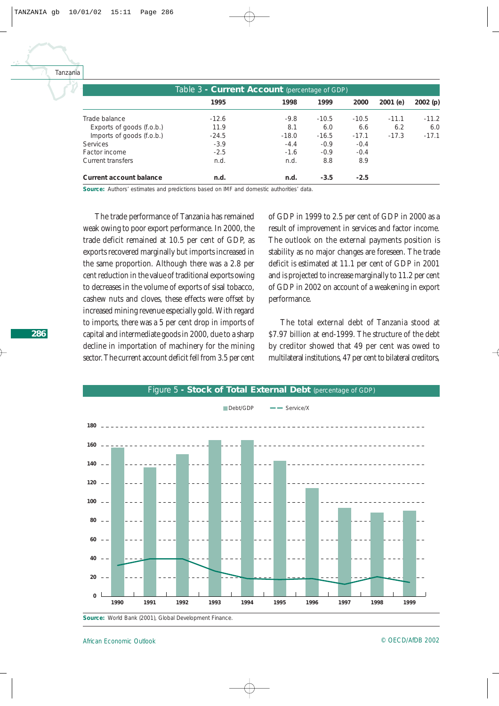| Table 3 - <b>Current Account</b> (percentage of GDP) |         |         |         |         |         |         |  |
|------------------------------------------------------|---------|---------|---------|---------|---------|---------|--|
|                                                      | 1995    | 1998    | 1999    | 2000    | 2001(e) | 2002(p) |  |
| Trade balance                                        | $-12.6$ | $-9.8$  | $-10.5$ | $-10.5$ | $-11.1$ | $-11.2$ |  |
| Exports of goods (f.o.b.)                            | 11.9    | 8.1     | 6.0     | 6.6     | 6.2     | 6.0     |  |
| Imports of goods (f.o.b.)                            | $-24.5$ | $-18.0$ | $-16.5$ | $-17.1$ | $-17.3$ | $-17.1$ |  |
| <b>Services</b>                                      | $-3.9$  | $-4.4$  | $-0.9$  | $-0.4$  |         |         |  |
| Factor income                                        | $-2.5$  | $-1.6$  | $-0.9$  | $-0.4$  |         |         |  |
| <b>Current transfers</b>                             | n.d.    | n.d.    | 8.8     | 8.9     |         |         |  |
| Current account balance                              | n.d.    | n.d.    | $-3.5$  | $-2.5$  |         |         |  |

**Source:** Authors' estimates and predictions based on IMF and domestic authorities' data.

The trade performance of Tanzania has remained weak owing to poor export performance. In 2000, the trade deficit remained at 10.5 per cent of GDP, as exports recovered marginally but imports increased in the same proportion. Although there was a 2.8 per cent reduction in the value of traditional exports owing to decreases in the volume of exports of sisal tobacco, cashew nuts and cloves, these effects were offset by increased mining revenue especially gold. With regard to imports, there was a 5 per cent drop in imports of capital and intermediate goods in 2000, due to a sharp decline in importation of machinery for the mining sector. The current account deficit fell from 3.5 per cent

of GDP in 1999 to 2.5 per cent of GDP in 2000 as a result of improvement in services and factor income. The outlook on the external payments position is stability as no major changes are foreseen. The trade deficit is estimated at 11.1 per cent of GDP in 2001 and is projected to increase marginally to 11.2 per cent of GDP in 2002 on account of a weakening in export performance.

The total external debt of Tanzania stood at \$7.97 billion at end-1999. The structure of the debt by creditor showed that 49 per cent was owed to multilateral institutions, 47 per cent to bilateral creditors,



**Source:** World Bank (2001), *Global Development Finance.* 

African Economic Outlook © OECD/AfDB 2002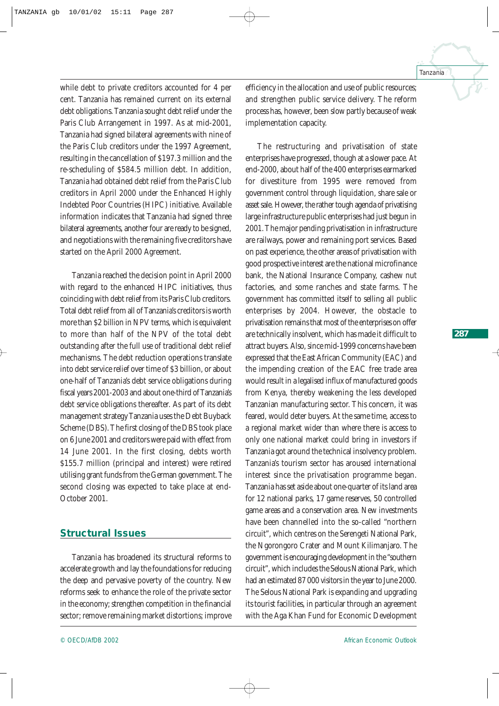while debt to private creditors accounted for 4 per cent. Tanzania has remained current on its external debt obligations. Tanzania sought debt relief under the Paris Club Arrangement in 1997. As at mid-2001, Tanzania had signed bilateral agreements with nine of the Paris Club creditors under the 1997 Agreement, resulting in the cancellation of \$197.3 million and the re-scheduling of \$584.5 million debt. In addition, Tanzania had obtained debt relief from the Paris Club creditors in April 2000 under the Enhanced Highly Indebted Poor Countries (HIPC) initiative. Available information indicates that Tanzania had signed three bilateral agreements, another four are ready to be signed, and negotiations with the remaining five creditors have started on the April 2000 Agreement.

Tanzania reached the decision point in April 2000 with regard to the enhanced HIPC initiatives, thus coinciding with debt relief from its Paris Club creditors. Total debt relief from all of Tanzania's creditors is worth more than \$2 billion in NPV terms, which is equivalent to more than half of the NPV of the total debt outstanding after the full use of traditional debt relief mechanisms. The debt reduction operations translate into debt service relief over time of \$3 billion, or about one-half of Tanzania's debt service obligations during fiscal years 2001-2003 and about one-third of Tanzania's debt service obligations thereafter. As part of its debt management strategy Tanzania uses the Debt Buyback Scheme (DBS). The first closing of the DBS took place on 6 June 2001 and creditors were paid with effect from 14 June 2001. In the first closing, debts worth \$155.7 million (principal and interest) were retired utilising grant funds from the German government. The second closing was expected to take place at end-October 2001.

#### **Structural Issues**

Tanzania has broadened its structural reforms to accelerate growth and lay the foundations for reducing the deep and pervasive poverty of the country. New reforms seek to enhance the role of the private sector in the economy; strengthen competition in the financial sector; remove remaining market distortions; improve

Tanzania

efficiency in the allocation and use of public resources; and strengthen public service delivery. The reform process has, however, been slow partly because of weak implementation capacity.

The restructuring and privatisation of state enterprises have progressed, though at a slower pace. At end-2000, about half of the 400 enterprises earmarked for divestiture from 1995 were removed from government control through liquidation, share sale or asset sale. However, the rather tough agenda of privatising large infrastructure public enterprises had just begun in 2001. The major pending privatisation in infrastructure are railways, power and remaining port services. Based on past experience, the other areas of privatisation with good prospective interest are the national microfinance bank, the National Insurance Company, cashew nut factories, and some ranches and state farms. The government has committed itself to selling all public enterprises by 2004. However, the obstacle to privatisation remains that most of the enterprises on offer are technically insolvent, which has made it difficult to attract buyers. Also, since mid-1999 concerns have been expressed that the East African Community (EAC) and the impending creation of the EAC free trade area would result in a legalised influx of manufactured goods from Kenya, thereby weakening the less developed Tanzanian manufacturing sector. This concern, it was feared, would deter buyers. At the same time, access to a regional market wider than where there is access to only one national market could bring in investors if Tanzania got around the technical insolvency problem. Tanzania's tourism sector has aroused international interest since the privatisation programme began. Tanzania has set aside about one-quarter of its land area for 12 national parks, 17 game reserves, 50 controlled game areas and a conservation area. New investments have been channelled into the so-called "northern circuit", which centres on the Serengeti National Park, the Ngorongoro Crater and Mount Kilimanjaro. The government is encouraging development in the "southern circuit", which includes the Selous National Park, which had an estimated 87 000 visitors in the year to June 2000. The Selous National Park is expanding and upgrading its tourist facilities, in particular through an agreement with the Aga Khan Fund for Economic Development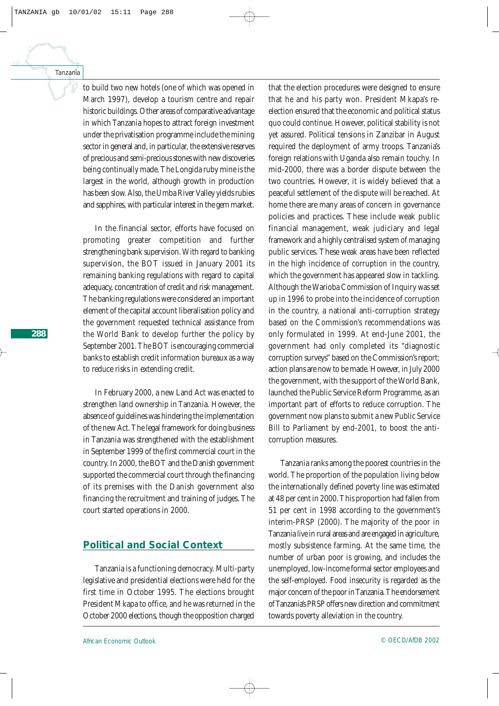to build two new hotels (one of which was opened in March 1997), develop a tourism centre and repair historic buildings. Other areas of comparative advantage in which Tanzania hopes to attract foreign investment under the privatisation programme include the mining sector in general and, in particular, the extensive reserves of precious and semi-precious stones with new discoveries being continually made. The Longida ruby mine is the largest in the world, although growth in production has been slow. Also, the Umba River Valley yields rubies and sapphires, with particular interest in the gem market.

In the financial sector, efforts have focused on promoting greater competition and further strengthening bank supervision. With regard to banking supervision, the BOT issued in January 2001 its remaining banking regulations with regard to capital adequacy, concentration of credit and risk management. The banking regulations were considered an important element of the capital account liberalisation policy and the government requested technical assistance from the World Bank to develop further the policy by September 2001. The BOT is encouraging commercial banks to establish credit information bureaux as a way to reduce risks in extending credit.

In February 2000, a new Land Act was enacted to strengthen land ownership in Tanzania. However, the absence of guidelines was hindering the implementation of the new Act. The legal framework for doing business in Tanzania was strengthened with the establishment in September 1999 of the first commercial court in the country. In 2000, the BOT and the Danish government supported the commercial court through the financing of its premises with the Danish government also financing the recruitment and training of judges. The court started operations in 2000.

#### **Political and Social Context**

Tanzania is a functioning democracy. Multi-party legislative and presidential elections were held for the first time in October 1995. The elections brought President Mkapa to office, and he was returned in the October 2000 elections, though the opposition charged

that the election procedures were designed to ensure that he and his party won. President Mkapa's reelection ensured that the economic and political status quo could continue. However, political stability is not yet assured. Political tensions in Zanzibar in August required the deployment of army troops. Tanzania's foreign relations with Uganda also remain touchy. In mid-2000, there was a border dispute between the two countries. However, it is widely believed that a peaceful settlement of the dispute will be reached. At home there are many areas of concern in governance policies and practices. These include weak public financial management, weak judiciary and legal framework and a highly centralised system of managing public services. These weak areas have been reflected in the high incidence of corruption in the country, which the government has appeared slow in tackling. Although the Warioba Commission of Inquiry was set up in 1996 to probe into the incidence of corruption in the country, a national anti-corruption strategy based on the Commission's recommendations was only formulated in 1999. At end-June 2001, the government had only completed its "diagnostic corruption surveys" based on the Commission's report; action plans are now to be made. However, in July 2000 the government, with the support of the World Bank, launched the Public Service Reform Programme, as an important part of efforts to reduce corruption. The government now plans to submit a new Public Service Bill to Parliament by end-2001, to boost the anticorruption measures.

Tanzania ranks among the poorest countries in the world. The proportion of the population living below the internationally defined poverty line was estimated at 48 per cent in 2000. This proportion had fallen from 51 per cent in 1998 according to the government's interim-PRSP (2000). The majority of the poor in Tanzania live in rural areas and are engaged in agriculture, mostly subsistence farming. At the same time, the number of urban poor is growing, and includes the unemployed, low-income formal sector employees and the self-employed. Food insecurity is regarded as the major concern of the poor in Tanzania. The endorsement of Tanzania's PRSP offers new direction and commitment towards poverty alleviation in the country.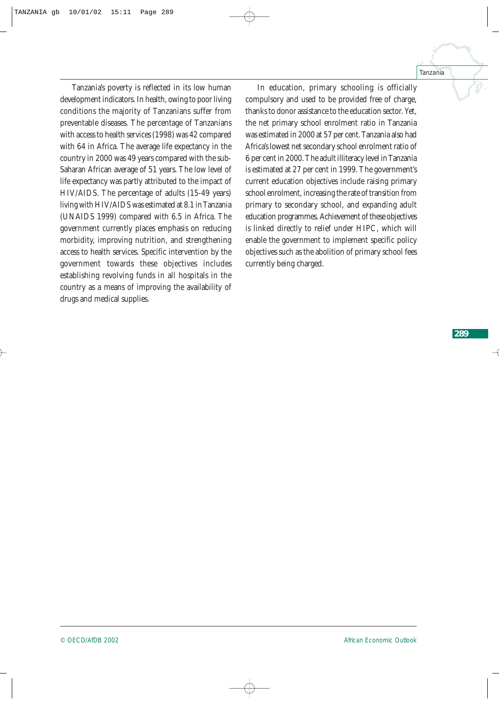Tanzania's poverty is reflected in its low human development indicators. In health, owing to poor living conditions the majority of Tanzanians suffer from preventable diseases. The percentage of Tanzanians with access to health services (1998) was 42 compared with 64 in Africa. The average life expectancy in the country in 2000 was 49 years compared with the sub-Saharan African average of 51 years. The low level of life expectancy was partly attributed to the impact of HIV/AIDS. The percentage of adults (15-49 years) living with HIV/AIDS was estimated at 8.1 in Tanzania (UNAIDS 1999) compared with 6.5 in Africa. The government currently places emphasis on reducing morbidity, improving nutrition, and strengthening access to health services. Specific intervention by the government towards these objectives includes establishing revolving funds in all hospitals in the country as a means of improving the availability of drugs and medical supplies.

Tanzania

In education, primary schooling is officially compulsory and used to be provided free of charge, thanks to donor assistance to the education sector. Yet, the net primary school enrolment ratio in Tanzania was estimated in 2000 at 57 per cent. Tanzania also had Africa's lowest net secondary school enrolment ratio of 6 per cent in 2000. The adult illiteracy level in Tanzania is estimated at 27 per cent in 1999. The government's current education objectives include raising primary school enrolment, increasing the rate of transition from primary to secondary school, and expanding adult education programmes. Achievement of these objectives is linked directly to relief under HIPC, which will enable the government to implement specific policy objectives such as the abolition of primary school fees currently being charged.

*289*